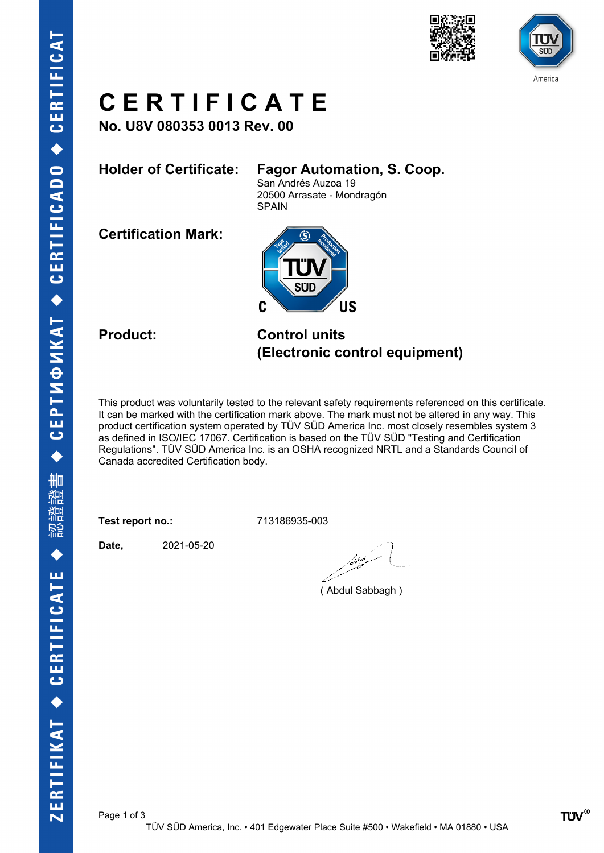



# **C E R T I F I C A T E**

**No. U8V 080353 0013 Rev. 00**

### **Holder of Certificate: Fagor Automation, S. Coop.**

San Andrés Auzoa 19 20500 Arrasate - Mondragón SPAIN

**Certification Mark:**



**Product: Control units (Electronic control equipment)**

This product was voluntarily tested to the relevant safety requirements referenced on this certificate. It can be marked with the certification mark above. The mark must not be altered in any way. This product certification system operated by TÜV SÜD America Inc. most closely resembles system 3 as defined in ISO/IEC 17067. Certification is based on the TÜV SÜD "Testing and Certification Regulations". TÜV SÜD America Inc. is an OSHA recognized NRTL and a Standards Council of Canada accredited Certification body.

**Test report no.:** 713186935-003

**Date,** 2021-05-20

مسكوكا

( Abdul Sabbagh )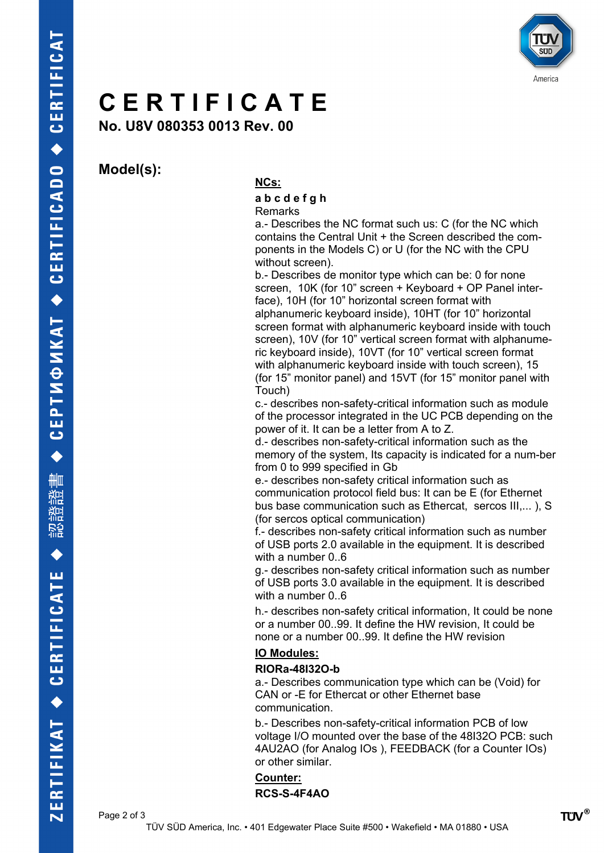

## **C E R T I F I C A T E**

**No. U8V 080353 0013 Rev. 00**

**Model(s):**

### **NCs:**

#### **a b c d e f g h** Remarks

a.- Describes the NC format such us: C (for the NC which contains the Central Unit + the Screen described the components in the Models C) or U (for the NC with the CPU without screen).

b.- Describes de monitor type which can be: 0 for none screen, 10K (for 10" screen + Keyboard + OP Panel interface), 10H (for 10" horizontal screen format with alphanumeric keyboard inside), 10HT (for 10" horizontal screen format with alphanumeric keyboard inside with touch screen), 10V (for 10" vertical screen format with alphanumeric keyboard inside), 10VT (for 10" vertical screen format with alphanumeric keyboard inside with touch screen), 15 (for 15" monitor panel) and 15VT (for 15" monitor panel with Touch)

c.- describes non-safety-critical information such as module of the processor integrated in the UC PCB depending on the power of it. It can be a letter from A to Z.

d.- describes non-safety-critical information such as the memory of the system, Its capacity is indicated for a num-ber from 0 to 999 specified in Gb

e.- describes non-safety critical information such as communication protocol field bus: It can be E (for Ethernet bus base communication such as Ethercat, sercos III,... ), S (for sercos optical communication)

f.- describes non-safety critical information such as number of USB ports 2.0 available in the equipment. It is described with a number 0..6

g.- describes non-safety critical information such as number of USB ports 3.0 available in the equipment. It is described with a number 0..6

h.- describes non-safety critical information, It could be none or a number 00..99. It define the HW revision, It could be none or a number 00..99. It define the HW revision

#### **IO Modules:**

#### **RIORa-48I32O-b**

a.- Describes communication type which can be (Void) for CAN or -E for Ethercat or other Ethernet base communication.

b.- Describes non-safety-critical information PCB of low voltage I/O mounted over the base of the 48I32O PCB: such 4AU2AO (for Analog IOs ), FEEDBACK (for a Counter IOs) or other similar.

**Counter: RCS-S-4F4AO**